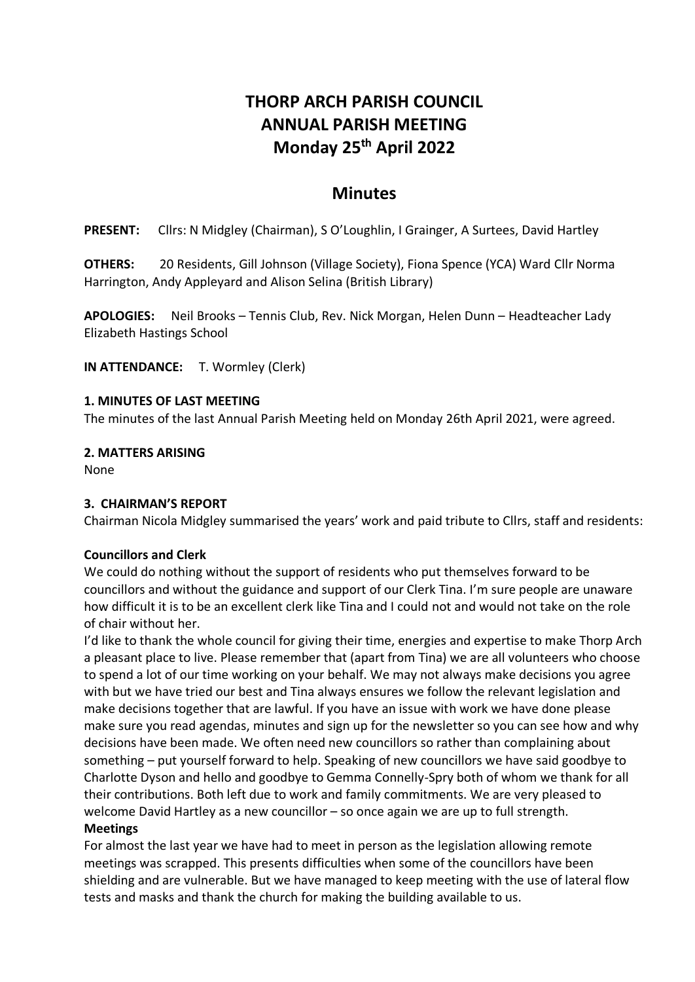# **THORP ARCH PARISH COUNCIL ANNUAL PARISH MEETING Monday 25 th April 2022**

# **Minutes**

**PRESENT:** Cllrs: N Midgley (Chairman), S O'Loughlin, I Grainger, A Surtees, David Hartley

**OTHERS:** 20 Residents, Gill Johnson (Village Society), Fiona Spence (YCA) Ward Cllr Norma Harrington, Andy Appleyard and Alison Selina (British Library)

**APOLOGIES:** Neil Brooks – Tennis Club, Rev. Nick Morgan, Helen Dunn – Headteacher Lady Elizabeth Hastings School

**IN ATTENDANCE:** T. Wormley (Clerk)

#### **1. MINUTES OF LAST MEETING**

The minutes of the last Annual Parish Meeting held on Monday 26th April 2021, were agreed.

**2. MATTERS ARISING**

None

#### **3. CHAIRMAN'S REPORT**

Chairman Nicola Midgley summarised the years' work and paid tribute to Cllrs, staff and residents:

#### **Councillors and Clerk**

We could do nothing without the support of residents who put themselves forward to be councillors and without the guidance and support of our Clerk Tina. I'm sure people are unaware how difficult it is to be an excellent clerk like Tina and I could not and would not take on the role of chair without her.

I'd like to thank the whole council for giving their time, energies and expertise to make Thorp Arch a pleasant place to live. Please remember that (apart from Tina) we are all volunteers who choose to spend a lot of our time working on your behalf. We may not always make decisions you agree with but we have tried our best and Tina always ensures we follow the relevant legislation and make decisions together that are lawful. If you have an issue with work we have done please make sure you read agendas, minutes and sign up for the newsletter so you can see how and why decisions have been made. We often need new councillors so rather than complaining about something – put yourself forward to help. Speaking of new councillors we have said goodbye to Charlotte Dyson and hello and goodbye to Gemma Connelly-Spry both of whom we thank for all their contributions. Both left due to work and family commitments. We are very pleased to welcome David Hartley as a new councillor – so once again we are up to full strength.

#### **Meetings**

For almost the last year we have had to meet in person as the legislation allowing remote meetings was scrapped. This presents difficulties when some of the councillors have been shielding and are vulnerable. But we have managed to keep meeting with the use of lateral flow tests and masks and thank the church for making the building available to us.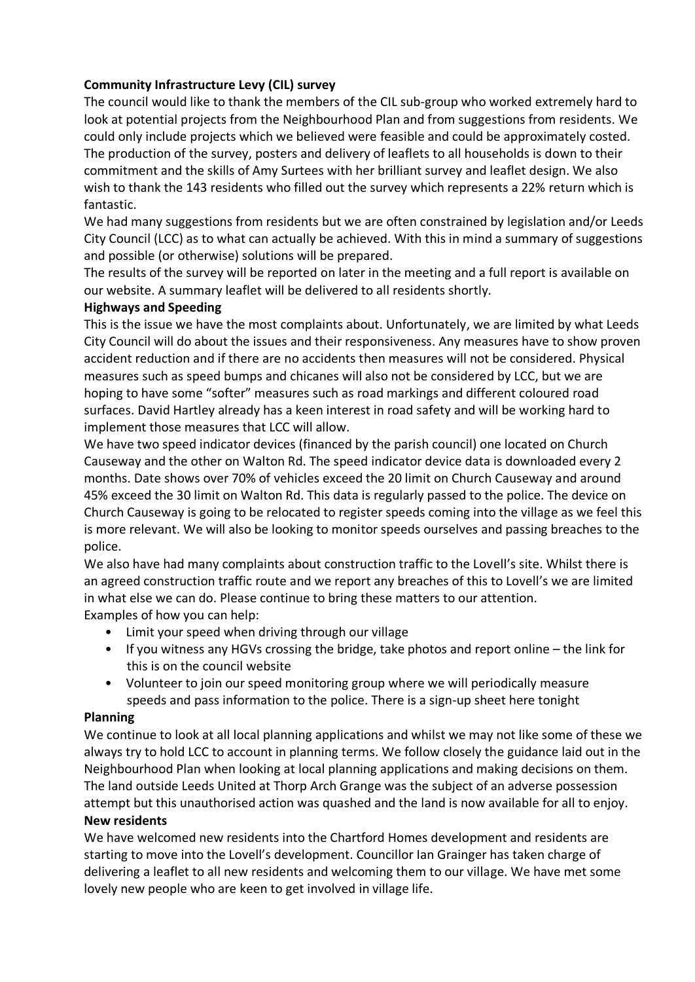### **Community Infrastructure Levy (CIL) survey**

The council would like to thank the members of the CIL sub-group who worked extremely hard to look at potential projects from the Neighbourhood Plan and from suggestions from residents. We could only include projects which we believed were feasible and could be approximately costed. The production of the survey, posters and delivery of leaflets to all households is down to their commitment and the skills of Amy Surtees with her brilliant survey and leaflet design. We also wish to thank the 143 residents who filled out the survey which represents a 22% return which is fantastic.

We had many suggestions from residents but we are often constrained by legislation and/or Leeds City Council (LCC) as to what can actually be achieved. With this in mind a summary of suggestions and possible (or otherwise) solutions will be prepared.

The results of the survey will be reported on later in the meeting and a full report is available on our website. A summary leaflet will be delivered to all residents shortly.

#### **Highways and Speeding**

This is the issue we have the most complaints about. Unfortunately, we are limited by what Leeds City Council will do about the issues and their responsiveness. Any measures have to show proven accident reduction and if there are no accidents then measures will not be considered. Physical measures such as speed bumps and chicanes will also not be considered by LCC, but we are hoping to have some "softer" measures such as road markings and different coloured road surfaces. David Hartley already has a keen interest in road safety and will be working hard to implement those measures that LCC will allow.

We have two speed indicator devices (financed by the parish council) one located on Church Causeway and the other on Walton Rd. The speed indicator device data is downloaded every 2 months. Date shows over 70% of vehicles exceed the 20 limit on Church Causeway and around 45% exceed the 30 limit on Walton Rd. This data is regularly passed to the police. The device on Church Causeway is going to be relocated to register speeds coming into the village as we feel this is more relevant. We will also be looking to monitor speeds ourselves and passing breaches to the police.

We also have had many complaints about construction traffic to the Lovell's site. Whilst there is an agreed construction traffic route and we report any breaches of this to Lovell's we are limited in what else we can do. Please continue to bring these matters to our attention. Examples of how you can help:

- Limit your speed when driving through our village
- If you witness any HGVs crossing the bridge, take photos and report online the link for this is on the council website
- Volunteer to join our speed monitoring group where we will periodically measure speeds and pass information to the police. There is a sign-up sheet here tonight

#### **Planning**

We continue to look at all local planning applications and whilst we may not like some of these we always try to hold LCC to account in planning terms. We follow closely the guidance laid out in the Neighbourhood Plan when looking at local planning applications and making decisions on them. The land outside Leeds United at Thorp Arch Grange was the subject of an adverse possession attempt but this unauthorised action was quashed and the land is now available for all to enjoy. **New residents**

We have welcomed new residents into the Chartford Homes development and residents are starting to move into the Lovell's development. Councillor Ian Grainger has taken charge of delivering a leaflet to all new residents and welcoming them to our village. We have met some lovely new people who are keen to get involved in village life.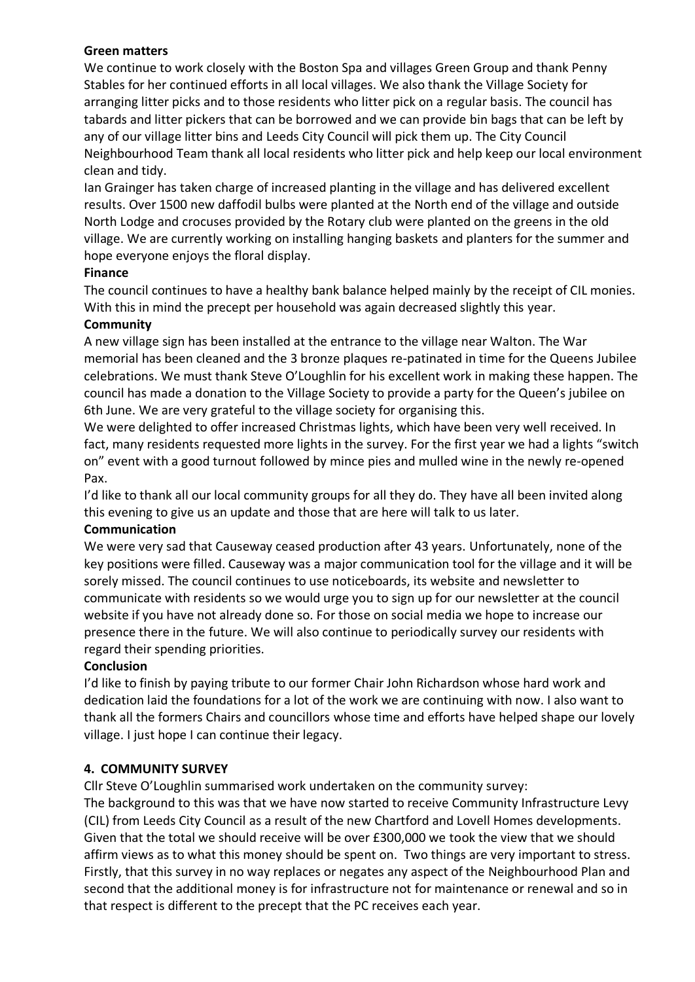#### **Green matters**

We continue to work closely with the Boston Spa and villages Green Group and thank Penny Stables for her continued efforts in all local villages. We also thank the Village Society for arranging litter picks and to those residents who litter pick on a regular basis. The council has tabards and litter pickers that can be borrowed and we can provide bin bags that can be left by any of our village litter bins and Leeds City Council will pick them up. The City Council Neighbourhood Team thank all local residents who litter pick and help keep our local environment clean and tidy.

Ian Grainger has taken charge of increased planting in the village and has delivered excellent results. Over 1500 new daffodil bulbs were planted at the North end of the village and outside North Lodge and crocuses provided by the Rotary club were planted on the greens in the old village. We are currently working on installing hanging baskets and planters for the summer and hope everyone enjoys the floral display.

#### **Finance**

The council continues to have a healthy bank balance helped mainly by the receipt of CIL monies. With this in mind the precept per household was again decreased slightly this year.

#### **Community**

A new village sign has been installed at the entrance to the village near Walton. The War memorial has been cleaned and the 3 bronze plaques re-patinated in time for the Queens Jubilee celebrations. We must thank Steve O'Loughlin for his excellent work in making these happen. The council has made a donation to the Village Society to provide a party for the Queen's jubilee on 6th June. We are very grateful to the village society for organising this.

We were delighted to offer increased Christmas lights, which have been very well received. In fact, many residents requested more lights in the survey. For the first year we had a lights "switch on" event with a good turnout followed by mince pies and mulled wine in the newly re-opened Pax.

I'd like to thank all our local community groups for all they do. They have all been invited along this evening to give us an update and those that are here will talk to us later.

#### **Communication**

We were very sad that Causeway ceased production after 43 years. Unfortunately, none of the key positions were filled. Causeway was a major communication tool for the village and it will be sorely missed. The council continues to use noticeboards, its website and newsletter to communicate with residents so we would urge you to sign up for our newsletter at the council website if you have not already done so. For those on social media we hope to increase our presence there in the future. We will also continue to periodically survey our residents with regard their spending priorities.

#### **Conclusion**

I'd like to finish by paying tribute to our former Chair John Richardson whose hard work and dedication laid the foundations for a lot of the work we are continuing with now. I also want to thank all the formers Chairs and councillors whose time and efforts have helped shape our lovely village. I just hope I can continue their legacy.

#### **4. COMMUNITY SURVEY**

Cllr Steve O'Loughlin summarised work undertaken on the community survey:

The background to this was that we have now started to receive Community Infrastructure Levy (CIL) from Leeds City Council as a result of the new Chartford and Lovell Homes developments. Given that the total we should receive will be over £300,000 we took the view that we should affirm views as to what this money should be spent on. Two things are very important to stress. Firstly, that this survey in no way replaces or negates any aspect of the Neighbourhood Plan and second that the additional money is for infrastructure not for maintenance or renewal and so in that respect is different to the precept that the PC receives each year.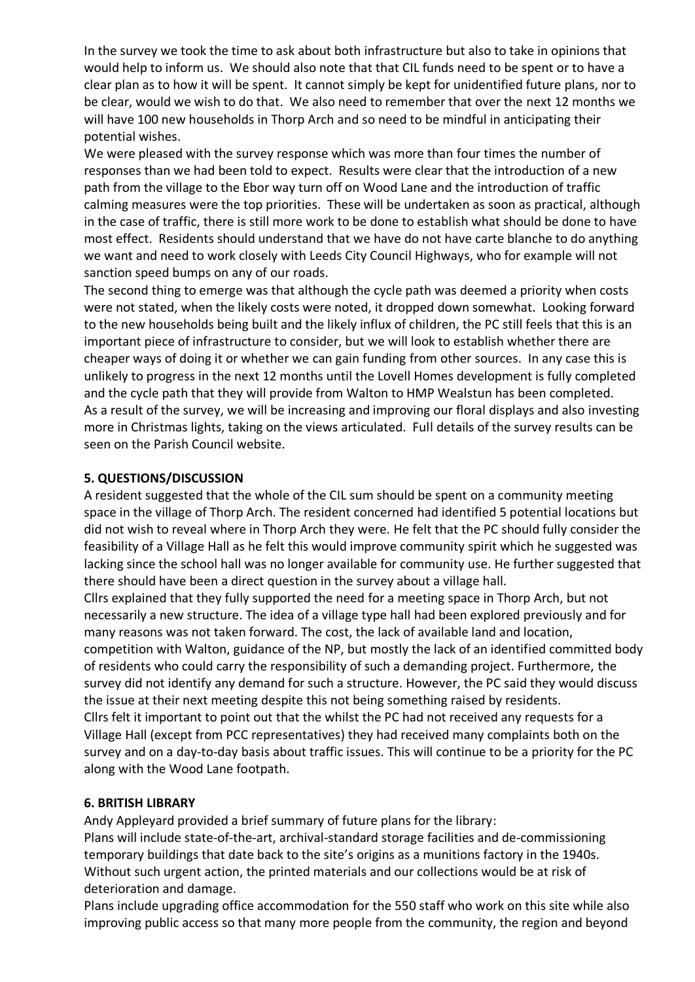In the survey we took the time to ask about both infrastructure but also to take in opinions that would help to inform us. We should also note that that CIL funds need to be spent or to have a clear plan as to how it will be spent. It cannot simply be kept for unidentified future plans, nor to be clear, would we wish to do that. We also need to remember that over the next 12 months we will have 100 new households in Thorp Arch and so need to be mindful in anticipating their potential wishes.

We were pleased with the survey response which was more than four times the number of responses than we had been told to expect. Results were clear that the introduction of a new path from the village to the Ebor way turn off on Wood Lane and the introduction of traffic calming measures were the top priorities. These will be undertaken as soon as practical, although in the case of traffic, there is still more work to be done to establish what should be done to have most effect. Residents should understand that we have do not have carte blanche to do anything we want and need to work closely with Leeds City Council Highways, who for example will not sanction speed bumps on any of our roads.

The second thing to emerge was that although the cycle path was deemed a priority when costs were not stated, when the likely costs were noted, it dropped down somewhat. Looking forward to the new households being built and the likely influx of children, the PC still feels that this is an important piece of infrastructure to consider, but we will look to establish whether there are cheaper ways of doing it or whether we can gain funding from other sources. In any case this is unlikely to progress in the next 12 months until the Lovell Homes development is fully completed and the cycle path that they will provide from Walton to HMP Wealstun has been completed. As a result of the survey, we will be increasing and improving our floral displays and also investing more in Christmas lights, taking on the views articulated. Full details of the survey results can be seen on the Parish Council website.

#### **5. QUESTIONS/DISCUSSION**

A resident suggested that the whole of the CIL sum should be spent on a community meeting space in the village of Thorp Arch. The resident concerned had identified 5 potential locations but did not wish to reveal where in Thorp Arch they were. He felt that the PC should fully consider the feasibility of a Village Hall as he felt this would improve community spirit which he suggested was lacking since the school hall was no longer available for community use. He further suggested that there should have been a direct question in the survey about a village hall.

Cllrs explained that they fully supported the need for a meeting space in Thorp Arch, but not necessarily a new structure. The idea of a village type hall had been explored previously and for many reasons was not taken forward. The cost, the lack of available land and location, competition with Walton, guidance of the NP, but mostly the lack of an identified committed body of residents who could carry the responsibility of such a demanding project. Furthermore, the survey did not identify any demand for such a structure. However, the PC said they would discuss the issue at their next meeting despite this not being something raised by residents. Cllrs felt it important to point out that the whilst the PC had not received any requests for a Village Hall (except from PCC representatives) they had received many complaints both on the survey and on a day-to-day basis about traffic issues. This will continue to be a priority for the PC along with the Wood Lane footpath.

#### **6. BRITISH LIBRARY**

Andy Appleyard provided a brief summary of future plans for the library:

Plans will include state-of-the-art, archival-standard storage facilities and de-commissioning temporary buildings that date back to the site's origins as a munitions factory in the 1940s. Without such urgent action, the printed materials and our collections would be at risk of deterioration and damage.

Plans include upgrading office accommodation for the 550 staff who work on this site while also improving public access so that many more people from the community, the region and beyond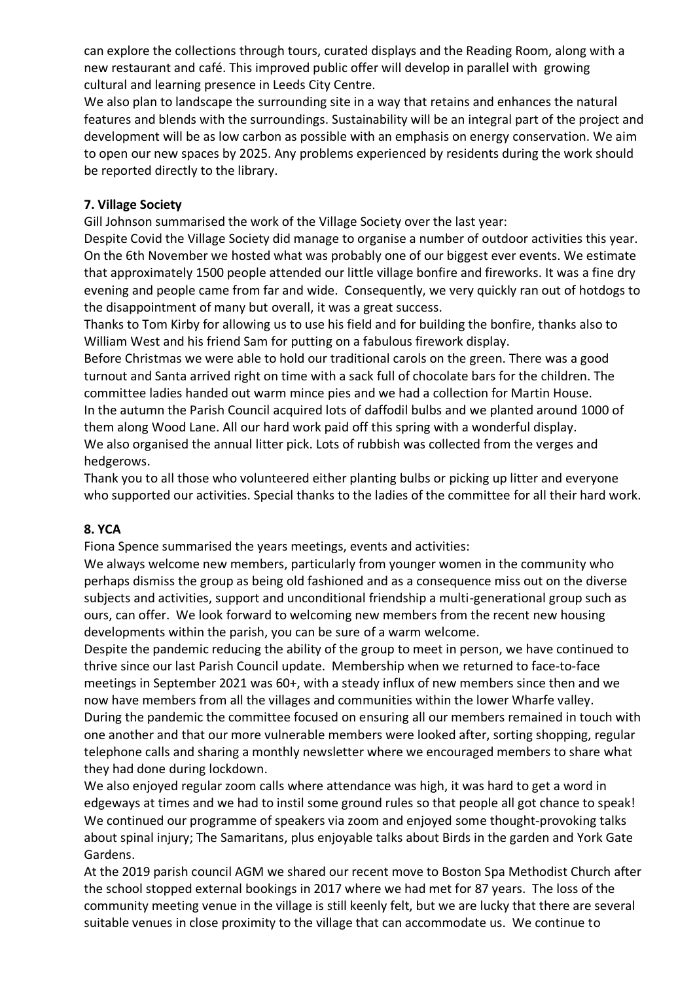can explore the collections through tours, curated displays and the Reading Room, along with a new restaurant and café. This improved public offer will develop in parallel with growing cultural and learning presence in Leeds City Centre.

We also plan to landscape the surrounding site in a way that retains and enhances the natural features and blends with the surroundings. Sustainability will be an integral part of the project and development will be as low carbon as possible with an emphasis on energy conservation. We aim to open our new spaces by 2025. Any problems experienced by residents during the work should be reported directly to the library.

#### **7. Village Society**

Gill Johnson summarised the work of the Village Society over the last year:

Despite Covid the Village Society did manage to organise a number of outdoor activities this year. On the 6th November we hosted what was probably one of our biggest ever events. We estimate that approximately 1500 people attended our little village bonfire and fireworks. It was a fine dry evening and people came from far and wide. Consequently, we very quickly ran out of hotdogs to the disappointment of many but overall, it was a great success.

Thanks to Tom Kirby for allowing us to use his field and for building the bonfire, thanks also to William West and his friend Sam for putting on a fabulous firework display.

Before Christmas we were able to hold our traditional carols on the green. There was a good turnout and Santa arrived right on time with a sack full of chocolate bars for the children. The committee ladies handed out warm mince pies and we had a collection for Martin House. In the autumn the Parish Council acquired lots of daffodil bulbs and we planted around 1000 of them along Wood Lane. All our hard work paid off this spring with a wonderful display. We also organised the annual litter pick. Lots of rubbish was collected from the verges and hedgerows.

Thank you to all those who volunteered either planting bulbs or picking up litter and everyone who supported our activities. Special thanks to the ladies of the committee for all their hard work.

## **8. YCA**

Fiona Spence summarised the years meetings, events and activities:

We always welcome new members, particularly from younger women in the community who perhaps dismiss the group as being old fashioned and as a consequence miss out on the diverse subjects and activities, support and unconditional friendship a multi-generational group such as ours, can offer. We look forward to welcoming new members from the recent new housing developments within the parish, you can be sure of a warm welcome.

Despite the pandemic reducing the ability of the group to meet in person, we have continued to thrive since our last Parish Council update. Membership when we returned to face-to-face meetings in September 2021 was 60+, with a steady influx of new members since then and we now have members from all the villages and communities within the lower Wharfe valley. During the pandemic the committee focused on ensuring all our members remained in touch with one another and that our more vulnerable members were looked after, sorting shopping, regular telephone calls and sharing a monthly newsletter where we encouraged members to share what they had done during lockdown.

We also enjoyed regular zoom calls where attendance was high, it was hard to get a word in edgeways at times and we had to instil some ground rules so that people all got chance to speak! We continued our programme of speakers via zoom and enjoyed some thought-provoking talks about spinal injury; The Samaritans, plus enjoyable talks about Birds in the garden and York Gate Gardens.

At the 2019 parish council AGM we shared our recent move to Boston Spa Methodist Church after the school stopped external bookings in 2017 where we had met for 87 years. The loss of the community meeting venue in the village is still keenly felt, but we are lucky that there are several suitable venues in close proximity to the village that can accommodate us. We continue to